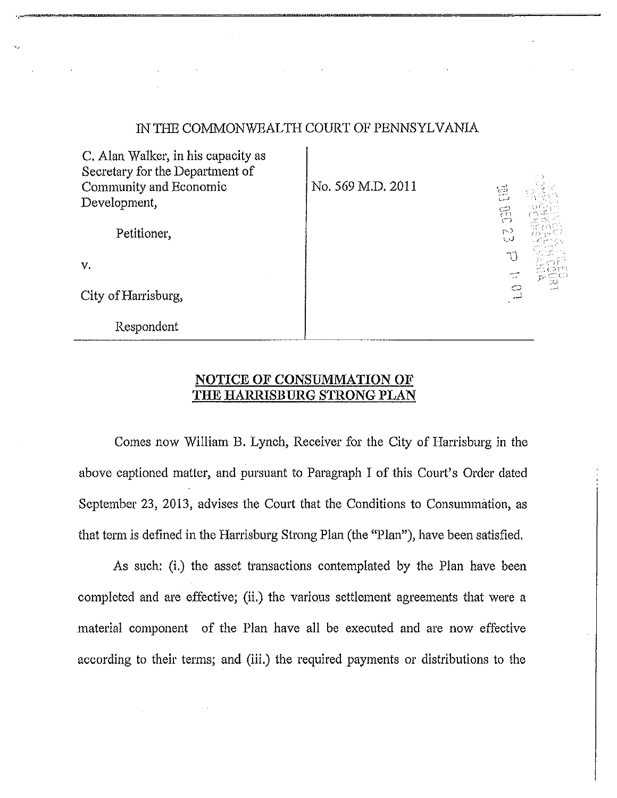## IN THE COMMONWEALTH COURT OF PENNSYLVANIA

| C. Alan Walker, in his capacity as<br>Secretary for the Department of<br>Community and Economic<br>Development, | No. 569 M.D. 2011 | 흞<br>$\mathbb{S}$ |
|-----------------------------------------------------------------------------------------------------------------|-------------------|-------------------|
| Petitioner,                                                                                                     |                   | r J<br>ل یا       |
| V.                                                                                                              |                   |                   |
| City of Harrisburg,                                                                                             |                   | ين<br>سا<br>O     |
| Respondent                                                                                                      |                   |                   |

## **NOTICE OF CONSUMMATION OF THE HARRISBURG STRONG PLAN**

Comes now William B. Lynch, Receiver for the City of Harrisburg in the above captioned matter, and pursuant to Paragraph I of this Court's Order dated September 23, 2013, advises the Court that the Conditions to Consummation, as that term is defined in the Harrisburg Strong Plan (the "Plan"), have been satisfied.

As such: (i.) the asset transactions contemplated by the Plan have been completed and are effective; (ii.) the various settlement agreements that were a material component of the Plan have all be executed and are now effective according to their terms; and (iii.) the required payments or distributions to the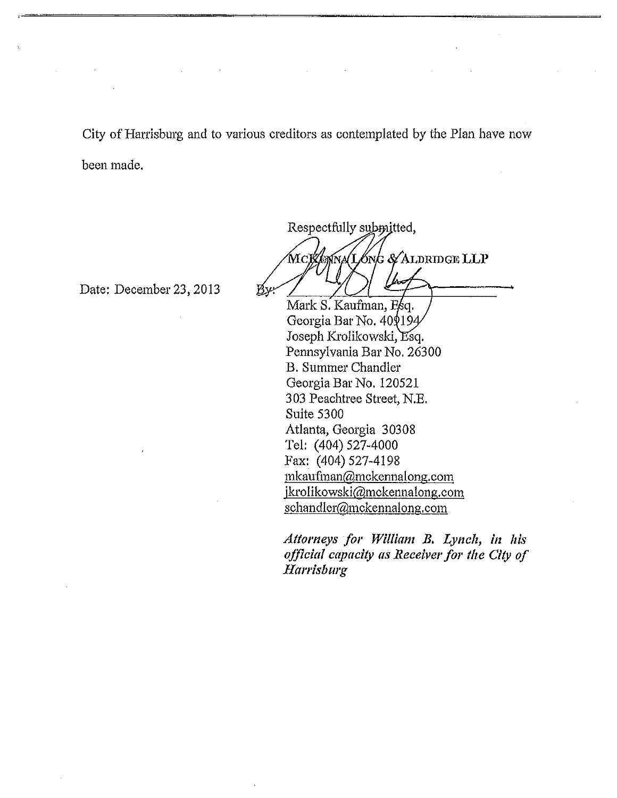City of Harrisburg and to various creditors as contemplated by the Plan have now been made.

Date: December 23, 2013

Respectfully submitted,

MCKOWALONG & ALDRIDGE LLP Bу

Mark S. Kaufman, Georgia Bar No. 40\$194 Joseph Krolikowski, Esq. Pennsylvania Bar No. 26300 B. Summer Chandler Georgia Bar No. 120521 303 Peachtree Street, N.E. Suite 5300 Atlanta, Georgia 30308 Tel: (404) 527-4000 Fax: (404) 527-4198 [mkauftnan@mckennalong.com](mailto:mkauftnan@mckennalong.com) jkrolikowski@mckennalong.com [schandler@mckennalong.com](mailto:schandler@mckennalong.com) 

*Attorneys for William B. Lynch, in his official capacity as Receiver for the City of Harrisburg*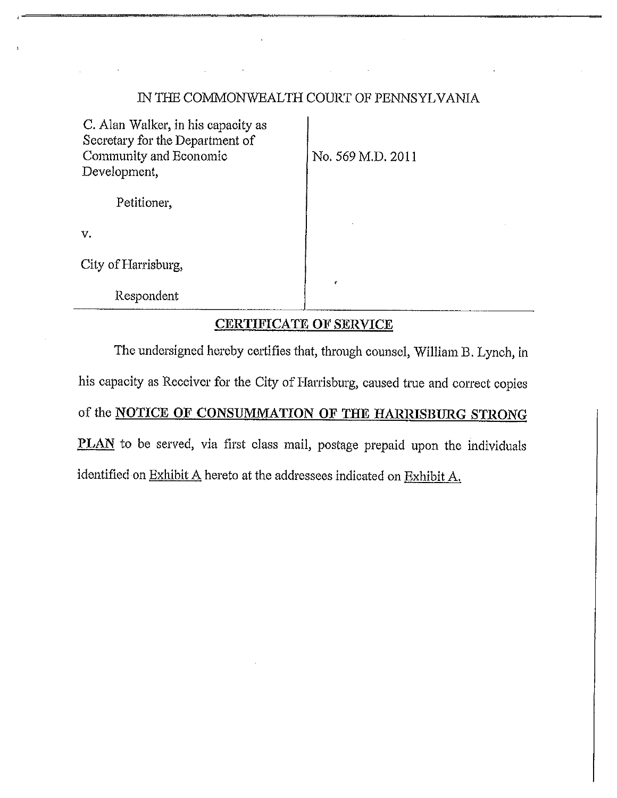## IN THE COMMONWEALTH COURT OF PENNSYLVANIA

C. Alan Walker, in his capacity as Secretary for the Department of Community and Economic  $\vert$  No. 569 M.D. 2011 Development,

Petitioner,

v.

City of Harrisburg,

Respondent

## **CERTIFICATE OF SERVICE**

The undersigned hereby certifies that, through counsel, William B. Lynch, in his capacity as Receiver for the City of Harrisburg, caused true and correct copies of the **NOTICE OF CONSUMMATION OF THE HARRISBURG STRONG PLAN** to be served, via first class mail, postage prepaid upon the individuals identified on Exhibit A hereto at the addressees indicated on Exhibit A.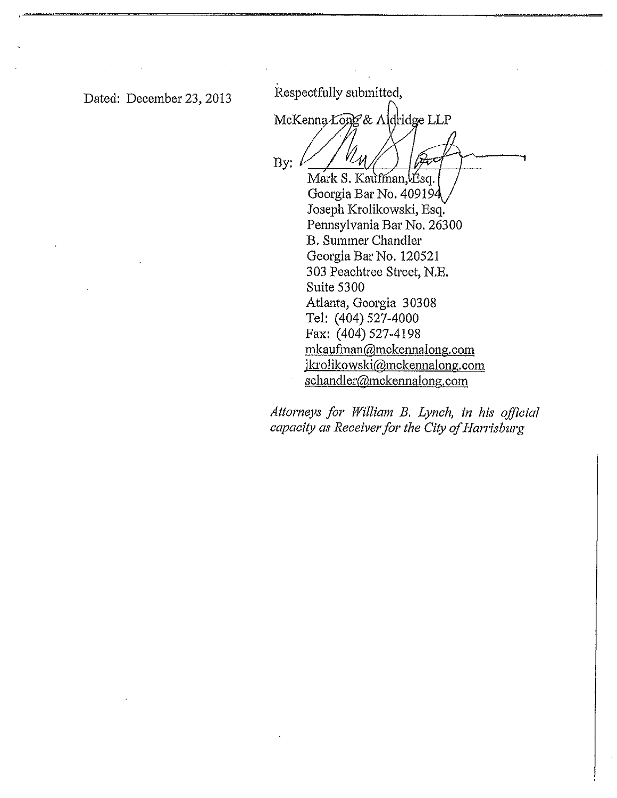Dated: December 23, 2013 Respectfully submitted,

McKenna Long & Addridge LLP By: Mark S. Kaufman, Esq.

Georgia Bar No. 40919 Joseph Krolikowski, Esq. Pennsylvania Bar No. 26300 B. Summer Chandler Georgia Bar No. 120521 303 Peachtree Street, N.E. Suite 5300 Atlanta, Georgia 30308 Tel: (404) 527-4000 Fax: (404) 527-4198 [mkaufinan@mckennalong.com](mailto:mkaufinan@mckennalong.com)  [jkrolikowski@mckennalong.com](mailto:jkrolikowski@mckennalong.com) [schandler@mckennalong.com](mailto:schandler@mckennalong.com)

Attorneys for William B. Lynch, in his official capacity as Receiver for the City of Harrisburg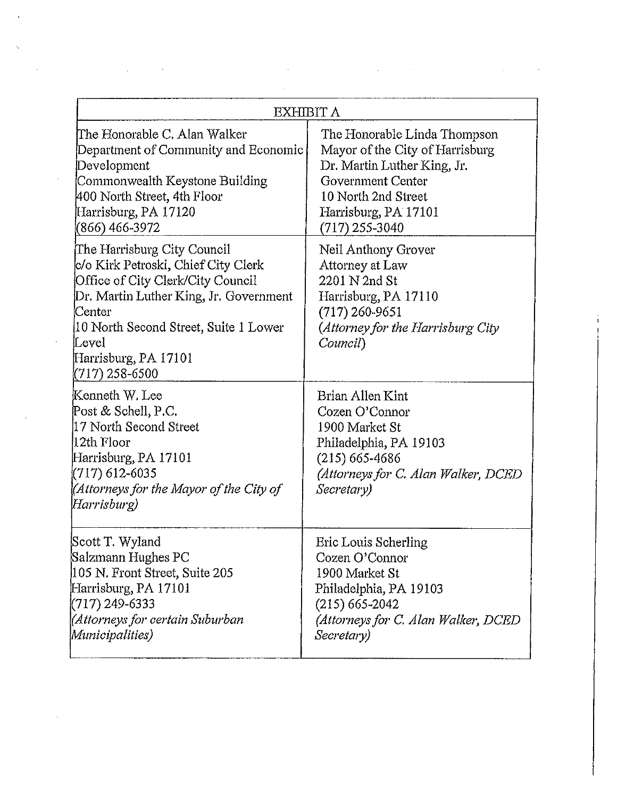| EXHIBIT A                                                                                                                                                                                                                                                |                                                                                                                                                                                        |
|----------------------------------------------------------------------------------------------------------------------------------------------------------------------------------------------------------------------------------------------------------|----------------------------------------------------------------------------------------------------------------------------------------------------------------------------------------|
| The Honorable C. Alan Walker<br>Department of Community and Economic<br>Development<br>Commonwealth Keystone Building<br>400 North Street, 4th Floor<br>Harrisburg, PA 17120<br>(866) 466-3972                                                           | The Honorable Linda Thompson<br>Mayor of the City of Harrisburg<br>Dr. Martin Luther King, Jr.<br>Government Center<br>10 North 2nd Street<br>Harrisburg, PA 17101<br>$(717)$ 255-3040 |
| The Harrisburg City Council<br>c/o Kirk Petroski, Chief City Clerk<br>Office of City Clerk/City Council<br>Dr. Martin Luther King, Jr. Government<br>lCenter<br>10 North Second Street, Suite 1 Lower<br>Level<br>Harrisburg, PA 17101<br>(717) 258-6500 | Neil Anthony Grover<br>Attorney at Law<br>2201 N 2nd St<br>Harrisburg, PA 17110<br>$(717)$ 260-9651<br>(Attorney for the Harrisburg City<br>Council)                                   |
| Kenneth W. Lee<br>Post & Schell, P.C.<br>17 North Second Street<br>12th Floor<br>Harrisburg, PA 17101<br>(717) 612-6035<br>Attorneys for the Mayor of the City of<br>(Harrisburg                                                                         | Brian Allen Kint<br>Cozen O'Connor<br>1900 Market St<br>Philadelphia, PA 19103<br>$(215)$ 665-4686<br>(Attorneys for C. Alan Walker, DCED<br>Secretary)                                |
| Scott T. Wyland<br>Salzmann Hughes PC<br>105 N. Front Street, Suite 205<br>Harrisburg, PA 17101<br>$(717)$ 249-6333<br>(Attorneys for certain Suburban<br>Municipalities)                                                                                | Eric Louis Scherling<br>Cozen O'Connor<br>1900 Market St<br>Philadelphia, PA 19103<br>$(215)$ 665-2042<br>(Attorneys for C. Alan Walker, DCED<br>Secretary)                            |

 $\mathcal{L}(\mathcal{A})$  and  $\mathcal{L}(\mathcal{A})$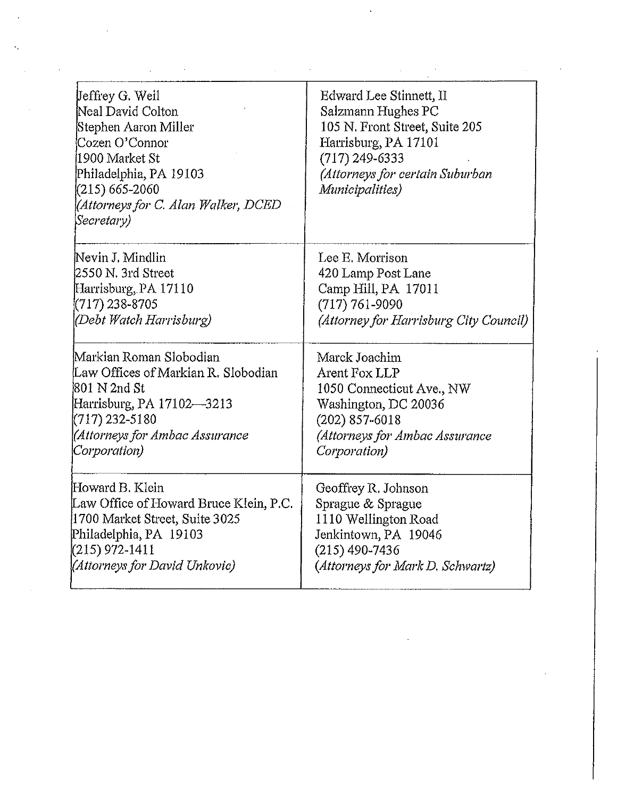| Jeffrey G. Weil<br>Neal David Colton<br>Stephen Aaron Miller<br>Cozen O'Connor<br>1900 Market St<br>Philadelphia, PA 19103<br>$(215) 665 - 2060$<br>(Attorneys for C. Alan Walker, DCED<br>Secretary) | Edward Lee Stinnett, II<br>Salzmann Hughes PC<br>105 N. Front Street, Suite 205<br>Harrisburg, PA 17101<br>$(717)$ 249-6333<br>(Attorneys for certain Suburban<br>Municipalities) |
|-------------------------------------------------------------------------------------------------------------------------------------------------------------------------------------------------------|-----------------------------------------------------------------------------------------------------------------------------------------------------------------------------------|
| Nevin J. Mindlin                                                                                                                                                                                      | Lee E. Morrison                                                                                                                                                                   |
| 2550 N. 3rd Street                                                                                                                                                                                    | 420 Lamp Post Lane                                                                                                                                                                |
| Harrisburg, PA 17110                                                                                                                                                                                  | Camp Hill, PA 17011                                                                                                                                                               |
| (717) 238-8705                                                                                                                                                                                        | $(717) 761 - 9090$                                                                                                                                                                |
| (Debt Watch Harrisburg)                                                                                                                                                                               | (Attorney for Harrisburg City Council)                                                                                                                                            |
| Markian Roman Slobodian                                                                                                                                                                               | Marck Joachim                                                                                                                                                                     |
| Law Offices of Markian R. Slobodian                                                                                                                                                                   | Arent Fox LLP                                                                                                                                                                     |
| 801 N 2nd St                                                                                                                                                                                          | 1050 Connecticut Ave., NW                                                                                                                                                         |
| Harrisburg, PA 17102-3213                                                                                                                                                                             | Washington, DC 20036                                                                                                                                                              |
| $(717)$ 232-5180                                                                                                                                                                                      | $(202)$ 857-6018                                                                                                                                                                  |
| (Attorneys for Ambac Assurance                                                                                                                                                                        | (Attorneys for Ambac Assurance                                                                                                                                                    |
| Corporation)                                                                                                                                                                                          | Corporation)                                                                                                                                                                      |
| Howard B. Klein                                                                                                                                                                                       | Geoffrey R. Johnson                                                                                                                                                               |
| Law Office of Howard Bruce Klein, P.C.                                                                                                                                                                | Sprague & Sprague                                                                                                                                                                 |
| 1700 Market Street, Suite 3025                                                                                                                                                                        | 1110 Wellington Road                                                                                                                                                              |
| Philadelphia, PA 19103                                                                                                                                                                                | Jenkintown, PA 19046                                                                                                                                                              |
| (215) 972-1411                                                                                                                                                                                        | $(215)$ 490-7436                                                                                                                                                                  |
| (Attorneys for David Unkovic)                                                                                                                                                                         | (Attorneys for Mark D. Schwartz)                                                                                                                                                  |

 $\mathcal{L}^{\text{max}}_{\text{max}}$  and  $\mathcal{L}^{\text{max}}_{\text{max}}$ 

 $\hat{\mathcal{E}}$ 

 $\label{eq:2.1} \frac{1}{\sqrt{2}}\int_{\mathbb{R}^3}\frac{1}{\sqrt{2}}\left(\frac{1}{\sqrt{2}}\right)^2\frac{1}{\sqrt{2}}\left(\frac{1}{\sqrt{2}}\right)^2\frac{1}{\sqrt{2}}\left(\frac{1}{\sqrt{2}}\right)^2.$